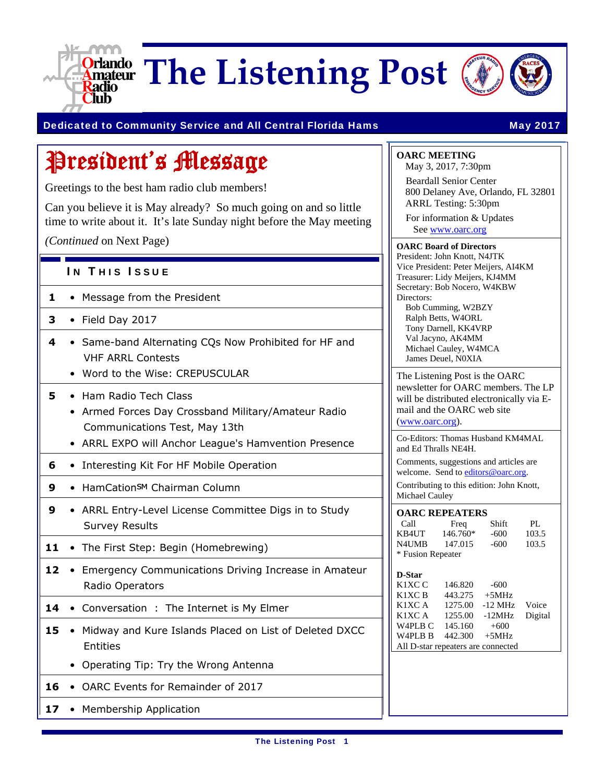

**The Listening Post**



### Dedicated to Community Service and All Central Florida Hams May 2017

# President's Message

Greetings to the best ham radio club members!

Can you believe it is May already? So much going on and so little time to write about it. It's late Sunday night before the May meeting

*(Continued* on Next Page)

### IN THIS ISSUE

- **1**  Message from the President
- **3**  Field Day 2017
- **4**  Same-band Alternating CQs Now Prohibited for HF and VHF ARRL Contests
	- Word to the Wise: CREPUSCULAR
- **5**  Ham Radio Tech Class
	- Armed Forces Day Crossband Military/Amateur Radio Communications Test, May 13th
	- ARRL EXPO will Anchor League's Hamvention Presence
- **6**  Interesting Kit For HF Mobile Operation
- **9** HamCation<sup>SM</sup> Chairman Column
- **9**  ARRL Entry-Level License Committee Digs in to Study Survey Results
- 11 The First Step: Begin (Homebrewing)
- **12**  Emergency Communications Driving Increase in Amateur Radio Operators
- 14 Conversation : The Internet is My Elmer
- **15**  Midway and Kure Islands Placed on List of Deleted DXCC Entities
	- Operating Tip: Try the Wrong Antenna
- **16**  OARC Events for Remainder of 2017
- 17 Membership Application

### **OARC MEETING**

May 3, 2017, 7:30pm Beardall Senior Center 800 Delaney Ave, Orlando, FL 32801 ARRL Testing: 5:30pm

For information & Updates See www.oarc.org

### **OARC Board of Directors**

President: John Knott, N4JTK Vice President: Peter Meijers, AI4KM Treasurer: Lidy Meijers, KJ4MM Secretary: Bob Nocero, W4KBW Directors:

Bob Cumming, W2BZY Ralph Betts, W4ORL Tony Darnell, KK4VRP Val Jacyno, AK4MM Michael Cauley, W4MCA James Deuel, N0XIA

The Listening Post is the OARC newsletter for OARC members. The LP will be distributed electronically via Email and the OARC web site (www.oarc.org).

Co-Editors: Thomas Husband KM4MAL and Ed Thralls NE4H.

Comments, suggestions and articles are welcome. Send to editors@oarc.org.

Contributing to this edition: John Knott, Michael Cauley

| <b>OARC REPEATERS</b> |          |        |       |  |  |
|-----------------------|----------|--------|-------|--|--|
| Call                  | Freq     | Shift  | PI.   |  |  |
| KB4UT                 | 146.760* | $-600$ | 103.5 |  |  |
| N4UMB                 | 147.015  | $-600$ | 103.5 |  |  |
| * Fusion Repeater     |          |        |       |  |  |

#### **D-Star**

| K1XC C                             | 146.820          | $-600$         |       |
|------------------------------------|------------------|----------------|-------|
| K1XC B                             | 443.275          | $+5MHz$        |       |
| K1XC A                             | 1275.00          | $-12$ MHz      | Voice |
| K1XC A                             | 1255.00          | -12MHz Digital |       |
| W4PLB C                            | 145.160          | $+600$         |       |
| W <sub>4</sub> PL <sub>B</sub> B   | $442.300 + 5MHz$ |                |       |
| All D-star repeaters are connected |                  |                |       |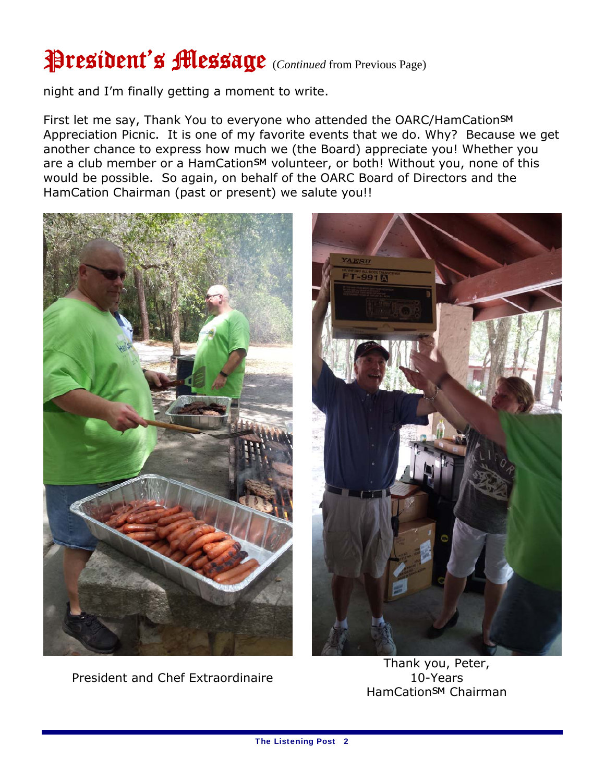# President's Message (*Continued* from Previous Page)

night and I'm finally getting a moment to write.

First let me say, Thank You to everyone who attended the OARC/HamCationSM Appreciation Picnic. It is one of my favorite events that we do. Why? Because we get another chance to express how much we (the Board) appreciate you! Whether you are a club member or a HamCation<sup>SM</sup> volunteer, or both! Without you, none of this would be possible. So again, on behalf of the OARC Board of Directors and the HamCation Chairman (past or present) we salute you!!







Thank you, Peter, 10-Years HamCation<sup>SM</sup> Chairman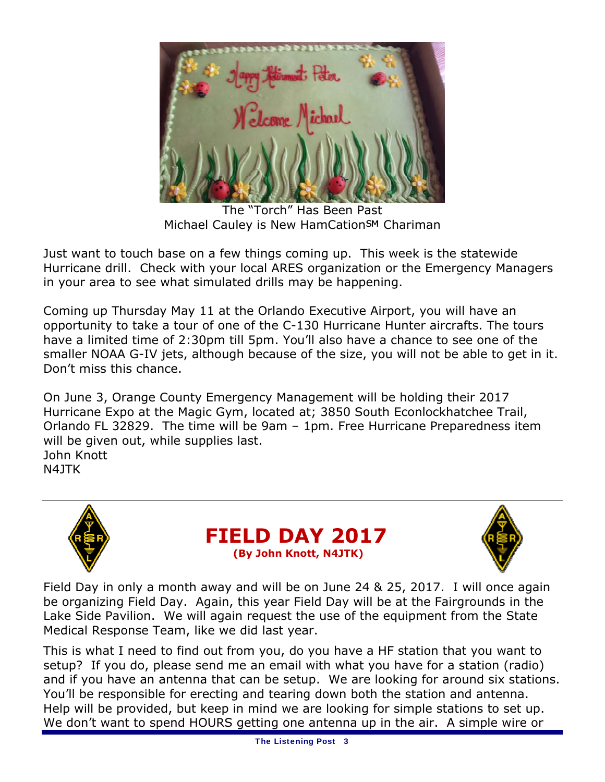

The "Torch" Has Been Past Michael Cauley is New HamCationSM Chariman

Just want to touch base on a few things coming up. This week is the statewide Hurricane drill. Check with your local ARES organization or the Emergency Managers in your area to see what simulated drills may be happening.

Coming up Thursday May 11 at the Orlando Executive Airport, you will have an opportunity to take a tour of one of the C-130 Hurricane Hunter aircrafts. The tours have a limited time of 2:30pm till 5pm. You'll also have a chance to see one of the smaller NOAA G-IV jets, although because of the size, you will not be able to get in it. Don't miss this chance.

On June 3, Orange County Emergency Management will be holding their 2017 Hurricane Expo at the Magic Gym, located at; 3850 South Econlockhatchee Trail, Orlando FL 32829. The time will be 9am – 1pm. Free Hurricane Preparedness item will be given out, while supplies last. John Knott N4JTK



**FIELD DAY 2017 (By John Knott, N4JTK)**



Field Day in only a month away and will be on June 24 & 25, 2017. I will once again be organizing Field Day. Again, this year Field Day will be at the Fairgrounds in the Lake Side Pavilion. We will again request the use of the equipment from the State Medical Response Team, like we did last year.

This is what I need to find out from you, do you have a HF station that you want to setup? If you do, please send me an email with what you have for a station (radio) and if you have an antenna that can be setup. We are looking for around six stations. You'll be responsible for erecting and tearing down both the station and antenna. Help will be provided, but keep in mind we are looking for simple stations to set up. We don't want to spend HOURS getting one antenna up in the air. A simple wire or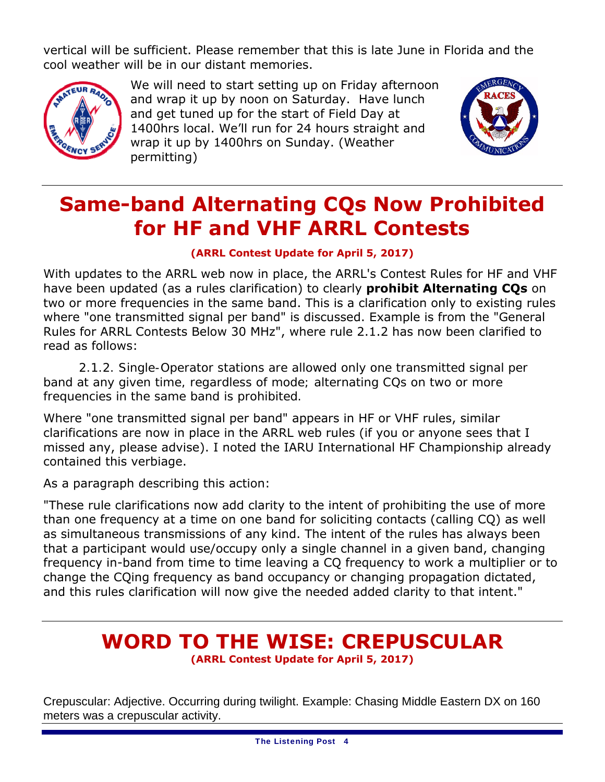vertical will be sufficient. Please remember that this is late June in Florida and the cool weather will be in our distant memories.



We will need to start setting up on Friday afternoon and wrap it up by noon on Saturday. Have lunch and get tuned up for the start of Field Day at 1400hrs local. We'll run for 24 hours straight and wrap it up by 1400hrs on Sunday. (Weather permitting)



# **Same-band Alternating CQs Now Prohibited for HF and VHF ARRL Contests**

### **(ARRL Contest Update for April 5, 2017)**

With updates to the ARRL web now in place, the ARRL's Contest Rules for HF and VHF have been updated (as a rules clarification) to clearly **prohibit Alternating CQs** on two or more frequencies in the same band. This is a clarification only to existing rules where "one transmitted signal per band" is discussed. Example is from the "General Rules for ARRL Contests Below 30 MHz", where rule 2.1.2 has now been clarified to read as follows:

*2.1.2. Single-Operator stations are allowed only one transmitted signal per band at any given time, regardless of mode; alternating CQs on two or more frequencies in the same band is prohibited.*

Where "one transmitted signal per band" appears in HF or VHF rules, similar clarifications are now in place in the ARRL web rules (if you or anyone sees that I missed any, please advise). I noted the IARU International HF Championship already contained this verbiage.

As a paragraph describing this action:

"These rule clarifications now add clarity to the intent of prohibiting the use of more than one frequency at a time on one band for soliciting contacts (calling CQ) as well as simultaneous transmissions of any kind. The intent of the rules has always been that a participant would use/occupy only a single channel in a given band, changing frequency in-band from time to time leaving a CQ frequency to work a multiplier or to change the CQing frequency as band occupancy or changing propagation dictated, and this rules clarification will now give the needed added clarity to that intent."

### **WORD TO THE WISE: CREPUSCULAR (ARRL Contest Update for April 5, 2017)**

Crepuscular: Adjective. Occurring during twilight. Example: Chasing Middle Eastern DX on 160 meters was a crepuscular activity.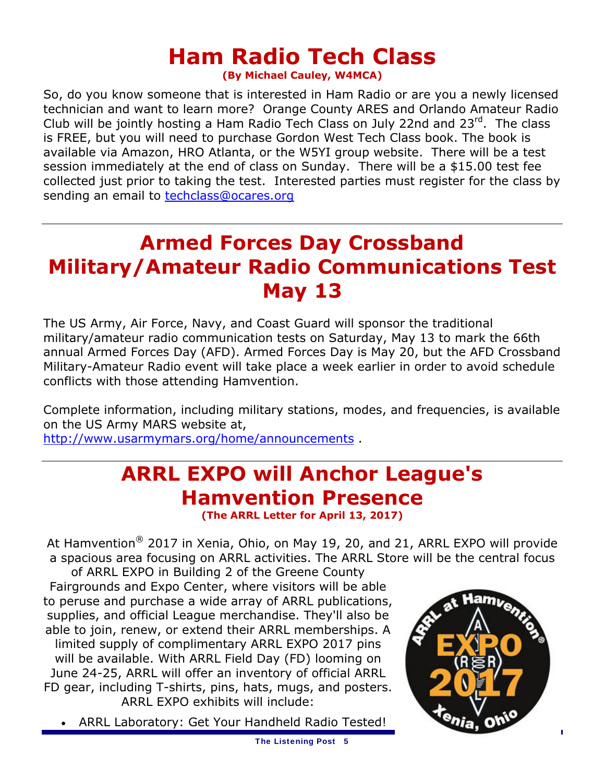# **Ham Radio Tech Class**

**(By Michael Cauley, W4MCA)**

So, do you know someone that is interested in Ham Radio or are you a newly licensed technician and want to learn more? Orange County ARES and Orlando Amateur Radio Club will be jointly hosting a Ham Radio Tech Class on July 22nd and 23<sup>rd</sup>. The class is FREE, but you will need to purchase Gordon West Tech Class book. The book is available via Amazon, HRO Atlanta, or the W5YI group website. There will be a test session immediately at the end of class on Sunday. There will be a \$15.00 test fee collected just prior to taking the test. Interested parties must register for the class by sending an email to techclass@ocares.org

# **Armed Forces Day Crossband Military/Amateur Radio Communications Test May 13**

The US Army, Air Force, Navy, and Coast Guard will sponsor the traditional military/amateur radio communication tests on Saturday, May 13 to mark the 66th annual Armed Forces Day (AFD). Armed Forces Day is May 20, but the AFD Crossband Military-Amateur Radio event will take place a week earlier in order to avoid schedule conflicts with those attending Hamvention.

Complete information, including military stations, modes, and frequencies, is available on the US Army MARS website at, http://www.usarmymars.org/home/announcements .

# **ARRL EXPO will Anchor League's Hamvention Presence**

**(The ARRL Letter for April 13, 2017)** 

At Hamvention<sup>®</sup> 2017 in Xenia, Ohio, on May 19, 20, and 21, ARRL EXPO will provide a spacious area focusing on ARRL activities. The ARRL Store will be the central focus

of ARRL EXPO in Building 2 of the Greene County Fairgrounds and Expo Center, where visitors will be able to peruse and purchase a wide array of ARRL publications, supplies, and official League merchandise. They'll also be able to join, renew, or extend their ARRL memberships. A *limited* supply of complimentary ARRL EXPO 2017 pins will be available. With ARRL Field Day (FD) looming on June 24-25, ARRL will offer an inventory of official ARRL FD gear, including T-shirts, pins, hats, mugs, and posters. ARRL EXPO exhibits will include:

ARRL Laboratory: Get Your Handheld Radio Tested!

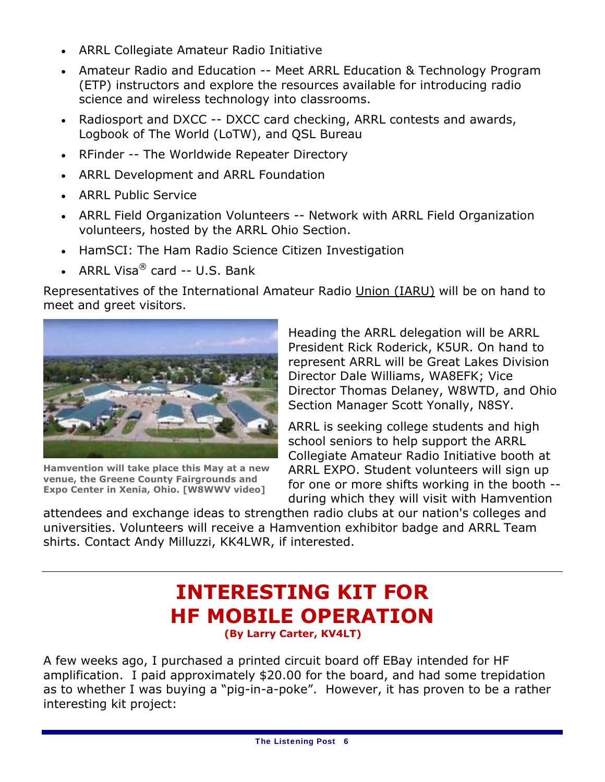- ARRL Collegiate Amateur Radio Initiative
- Amateur Radio and Education -- Meet ARRL Education & Technology Program (ETP) instructors and explore the resources available for introducing radio science and wireless technology into classrooms.
- Radiosport and DXCC -- DXCC card checking, ARRL contests and awards, Logbook of The World (LoTW), and QSL Bureau
- RFinder -- The Worldwide Repeater Directory
- ARRL Development and ARRL Foundation
- ARRL Public Service
- ARRL Field Organization Volunteers -- Network with ARRL Field Organization volunteers, hosted by the ARRL Ohio Section.
- HamSCI: The Ham Radio Science Citizen Investigation
- ARRL Visa $^{\circledR}$  card -- U.S. Bank

Representatives of the International Amateur Radio Union (IARU) will be on hand to meet and greet visitors.



**Hamvention will take place this May at a new venue, the Greene County Fairgrounds and Expo Center in Xenia, Ohio. [W8WWV video]**

Heading the ARRL delegation will be ARRL President Rick Roderick, K5UR. On hand to represent ARRL will be Great Lakes Division Director Dale Williams, WA8EFK; Vice Director Thomas Delaney, W8WTD, and Ohio Section Manager Scott Yonally, N8SY.

ARRL is seeking college students and high school seniors to help support the ARRL Collegiate Amateur Radio Initiative booth at ARRL EXPO. Student volunteers will sign up for one or more shifts working in the booth - during which they will visit with Hamvention

attendees and exchange ideas to strengthen radio clubs at our nation's colleges and universities. Volunteers will receive a Hamvention exhibitor badge and ARRL Team shirts. Contact Andy Milluzzi, KK4LWR, if interested.

# **INTERESTING KIT FOR HF MOBILE OPERATION**

A few weeks ago, I purchased a printed circuit board off EBay intended for HF amplification. I paid approximately \$20.00 for the board, and had some trepidation as to whether I was buying a "pig-in-a-poke". However, it has proven to be a rather interesting kit project: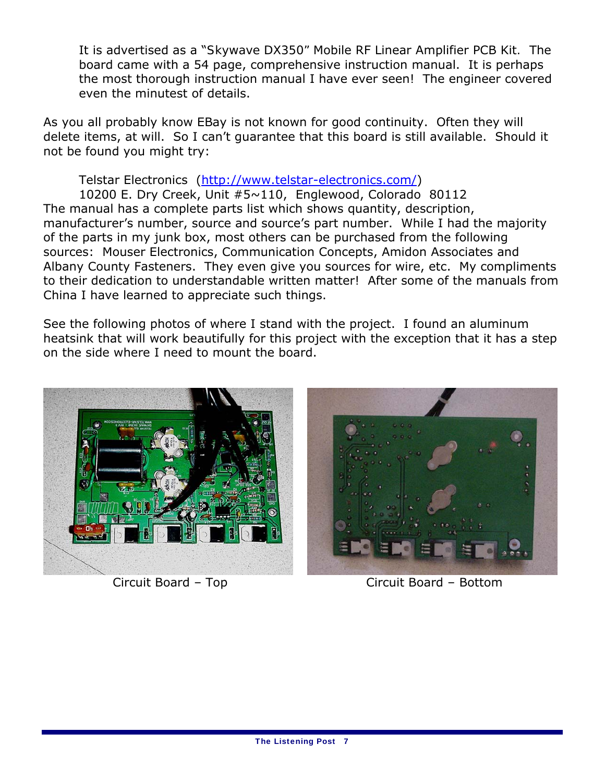It is advertised as a "*Skywave DX350"* Mobile RF Linear Amplifier PCB Kit*.* The board came with a 54 page, comprehensive instruction manual. It is perhaps the most thorough instruction manual I have ever seen! The engineer covered even the minutest of details.

As you all probably know EBay is not known for good continuity. Often they will delete items, at will. So I can't guarantee that this board is still available. Should it not be found you might try:

Telstar Electronics (http://www.telstar-electronics.com/)

 10200 E. Dry Creek, Unit #5~110, Englewood, Colorado 80112 The manual has a complete parts list which shows quantity, description, manufacturer's number, source and source's part number. While I had the majority of the parts in my junk box, most others can be purchased from the following sources: Mouser Electronics, Communication Concepts, Amidon Associates and Albany County Fasteners. They even give you sources for wire, etc. My compliments to their dedication to understandable written matter! After some of the manuals from China I have learned to appreciate such things.

See the following photos of where I stand with the project. I found an aluminum heatsink that will work beautifully for this project with the exception that it has a step on the side where I need to mount the board.



Circuit Board – Top Circuit Board – Bottom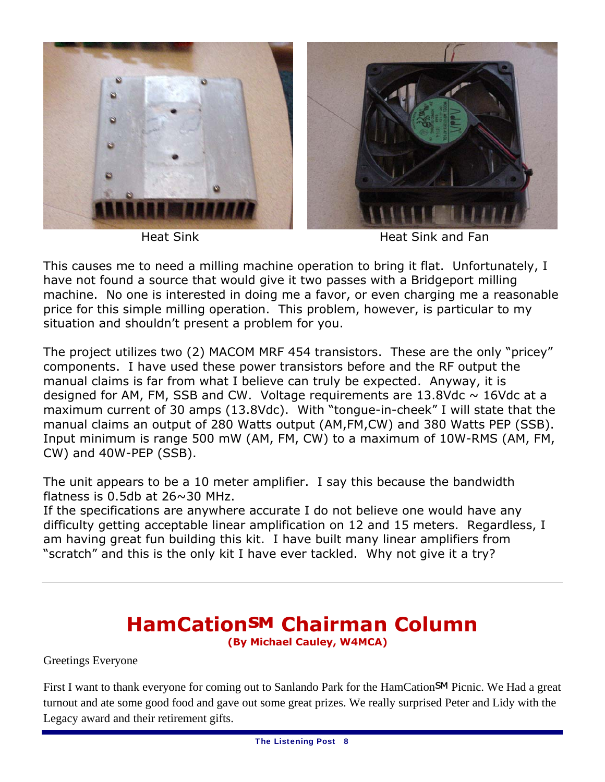



Heat Sink Heat Sink and Fan

This causes me to need a milling machine operation to bring it flat. Unfortunately, I have not found a source that would give it two passes with a Bridgeport milling machine. No one is interested in doing me a favor, or even charging me a reasonable price for this simple milling operation. This problem, however, is particular to my situation and shouldn't present a problem for you.

The project utilizes two (2) MACOM MRF 454 transistors. These are the only "pricey" components. I have used these power transistors before and the RF output the manual claims is far from what I believe can truly be expected. Anyway, it is designed for AM, FM, SSB and CW. Voltage requirements are  $13.8$ Vdc  $\sim 16$ Vdc at a maximum current of 30 amps (13.8Vdc). With "tongue-in-cheek" I will state that the manual claims an output of 280 Watts output (AM,FM,CW) and 380 Watts PEP (SSB). Input minimum is range 500 mW (AM, FM, CW) to a maximum of 10W-RMS (AM, FM, CW) and 40W-PEP (SSB).

The unit appears to be a 10 meter amplifier. I say this because the bandwidth flatness is  $0.5$ db at  $26 \sim 30$  MHz.

If the specifications are anywhere accurate I do not believe one would have any difficulty getting acceptable linear amplification on 12 and 15 meters. Regardless, I am having great fun building this kit. I have built many linear amplifiers from "scratch" and this is the only kit I have ever tackled. Why not give it a try?

### **HamCation℠ Chairman Column(By Michael Cauley, W4MCA)**

Greetings Everyone

First I want to thank everyone for coming out to Sanlando Park for the HamCation SM Picnic. We Had a great turnout and ate some good food and gave out some great prizes. We really surprised Peter and Lidy with the Legacy award and their retirement gifts.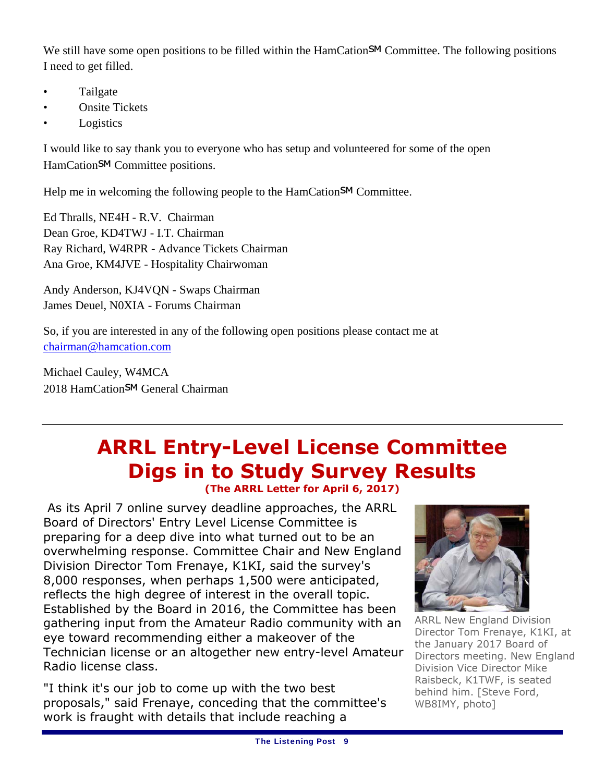We still have some open positions to be filled within the HamCation<sup>SM</sup> Committee. The following positions I need to get filled.

- Tailgate
- Onsite Tickets
- **Logistics**

I would like to say thank you to everyone who has setup and volunteered for some of the open HamCation<sup>SM</sup> Committee positions.

Help me in welcoming the following people to the HamCation<sup>SM</sup> Committee.

Ed Thralls, NE4H - R.V. Chairman Dean Groe, KD4TWJ - I.T. Chairman Ray Richard, W4RPR - Advance Tickets Chairman Ana Groe, KM4JVE - Hospitality Chairwoman

Andy Anderson, KJ4VQN - Swaps Chairman James Deuel, N0XIA - Forums Chairman

So, if you are interested in any of the following open positions please contact me at chairman@hamcation.com

Michael Cauley, W4MCA 2018 HamCation<sup>SM</sup> General Chairman

### **ARRL Entry-Level License Committee Digs in to Study Survey Results (The ARRL Letter for April 6, 2017)**

 As its April 7 online survey deadline approaches, the ARRL Board of Directors' Entry Level License Committee is preparing for a deep dive into what turned out to be an overwhelming response. Committee Chair and New England Division Director Tom Frenaye, K1KI, said the survey's 8,000 responses, when perhaps 1,500 were anticipated, reflects the high degree of interest in the overall topic. Established by the Board in 2016, the Committee has been gathering input from the Amateur Radio community with an eye toward recommending either a makeover of the Technician license or an altogether new entry-level Amateur Radio license class.

"I think it's our job to come up with the two best proposals," said Frenaye, conceding that the committee's work is fraught with details that include reaching a



ARRL New England Division Director Tom Frenaye, K1KI, at the January 2017 Board of Directors meeting. New England Division Vice Director Mike Raisbeck, K1TWF, is seated behind him. [Steve Ford, WB8IMY, photo]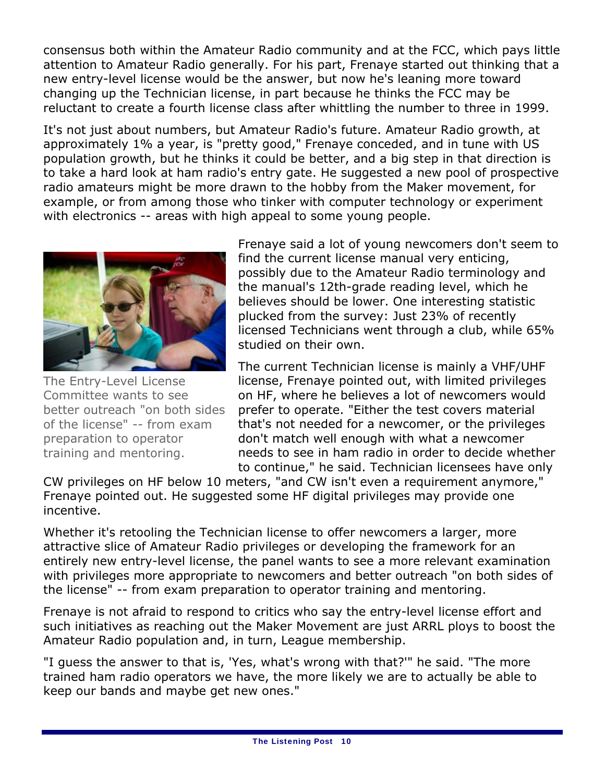consensus both within the Amateur Radio community and at the FCC, which pays little attention to Amateur Radio generally. For his part, Frenaye started out thinking that a new entry-level license would be the answer, but now he's leaning more toward changing up the Technician license, in part because he thinks the FCC may be reluctant to create a fourth license class after whittling the number to three in 1999.

It's not just about numbers, but Amateur Radio's future. Amateur Radio growth, at approximately 1% a year, is "pretty good," Frenaye conceded, and in tune with US population growth, but he thinks it could be better, and a big step in that direction is to take a hard look at ham radio's entry gate. He suggested a new pool of prospective radio amateurs might be more drawn to the hobby from the Maker movement, for example, or from among those who tinker with computer technology or experiment with electronics -- areas with high appeal to some young people.



The Entry-Level License Committee wants to see better outreach "on both sides of the license" -- from exam preparation to operator training and mentoring.

Frenaye said a lot of young newcomers don't seem to find the current license manual very enticing, possibly due to the Amateur Radio terminology and the manual's 12th-grade reading level, which he believes should be lower. One interesting statistic plucked from the survey: Just 23% of recently licensed Technicians went through a club, while 65% studied on their own.

The current Technician license is mainly a VHF/UHF license, Frenaye pointed out, with limited privileges on HF, where he believes a lot of newcomers would prefer to operate. "Either the test covers material that's not needed for a newcomer, or the privileges don't match well enough with what a newcomer needs to see in ham radio in order to decide whether to continue," he said. Technician licensees have only

CW privileges on HF below 10 meters, "and CW isn't even a requirement anymore," Frenaye pointed out. He suggested some HF digital privileges may provide one incentive.

Whether it's retooling the Technician license to offer newcomers a larger, more attractive slice of Amateur Radio privileges or developing the framework for an entirely new entry-level license, the panel wants to see a more relevant examination with privileges more appropriate to newcomers and better outreach "on both sides of the license" -- from exam preparation to operator training and mentoring.

Frenaye is not afraid to respond to critics who say the entry-level license effort and such initiatives as reaching out the Maker Movement are just ARRL ploys to boost the Amateur Radio population and, in turn, League membership.

"I guess the answer to that is, 'Yes, what's wrong with that?'" he said. "The more trained ham radio operators we have, the more likely we are to actually be able to keep our bands and maybe get new ones."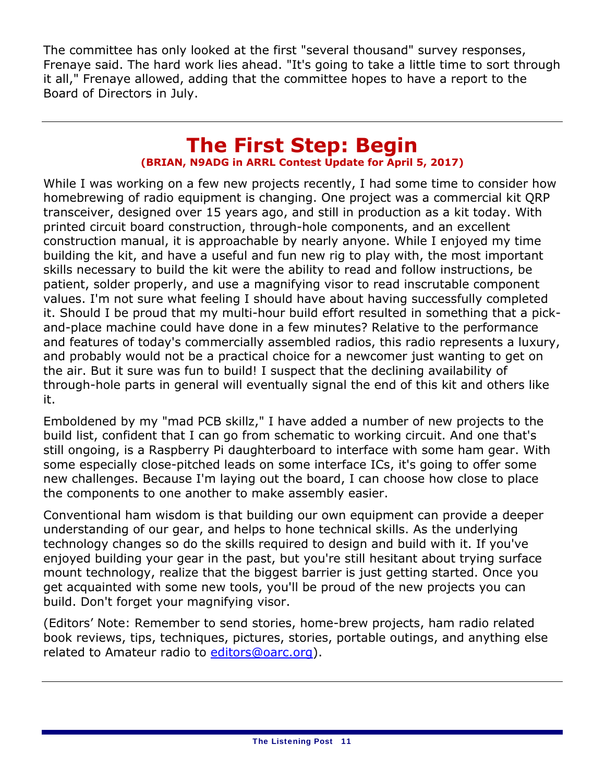The committee has only looked at the first "several thousand" survey responses, Frenaye said. The hard work lies ahead. "It's going to take a little time to sort through it all," Frenaye allowed, adding that the committee hopes to have a report to the Board of Directors in July.

### **The First Step: Begin (BRIAN, N9ADG in ARRL Contest Update for April 5, 2017)**

While I was working on a few new projects recently, I had some time to consider how homebrewing of radio equipment is changing. One project was a commercial kit QRP transceiver, designed over 15 years ago, and still in production as a kit today. With printed circuit board construction, through-hole components, and an excellent construction manual, it is approachable by nearly anyone. While I enjoyed my time building the kit, and have a useful and fun new rig to play with, the most important skills necessary to build the kit were the ability to read and follow instructions, be patient, solder properly, and use a magnifying visor to read inscrutable component values. I'm not sure what feeling I should have about having successfully completed it. Should I be proud that my multi-hour build effort resulted in something that a pickand-place machine could have done in a few minutes? Relative to the performance and features of today's commercially assembled radios, this radio represents a luxury, and probably would not be a practical choice for a newcomer just wanting to get on the air. But it sure was fun to build! I suspect that the declining availability of through-hole parts in general will eventually signal the end of this kit and others like it.

Emboldened by my "mad PCB skillz," I have added a number of new projects to the build list, confident that I can go from schematic to working circuit. And one that's still ongoing, is a Raspberry Pi daughterboard to interface with some ham gear. With some especially close-pitched leads on some interface ICs, it's going to offer some new challenges. Because I'm laying out the board, I can choose how close to place the components to one another to make assembly easier.

Conventional ham wisdom is that building our own equipment can provide a deeper understanding of our gear, and helps to hone technical skills. As the underlying technology changes so do the skills required to design and build with it. If you've enjoyed building your gear in the past, but you're still hesitant about trying surface mount technology, realize that the biggest barrier is just getting started. Once you get acquainted with some new tools, you'll be proud of the new projects you can build. Don't forget your magnifying visor.

(Editors' Note: Remember to send stories, home-brew projects, ham radio related book reviews, tips, techniques, pictures, stories, portable outings, and anything else related to Amateur radio to editors@oarc.org).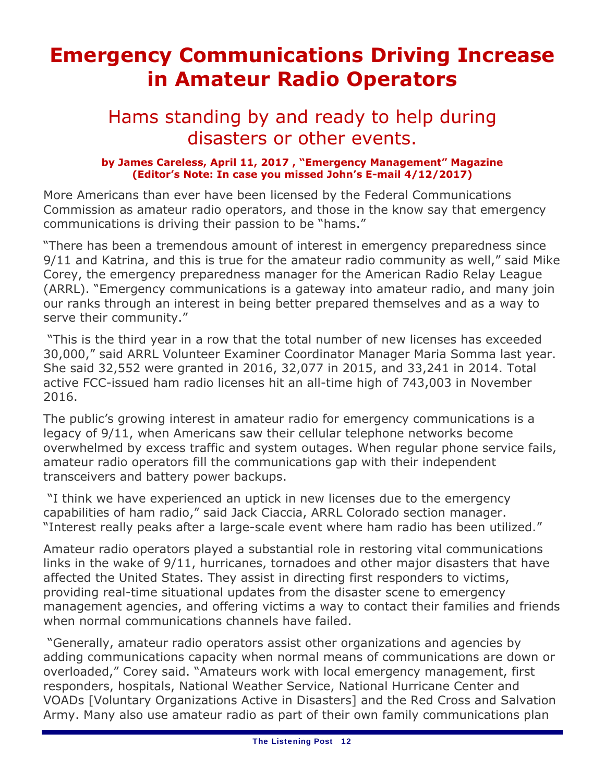# **Emergency Communications Driving Increase in Amateur Radio Operators**

### Hams standing by and ready to help during disasters or other events.

### **by James Careless, April 11, 2017 , "Emergency Management" Magazine (Editor's Note: In case you missed John's E-mail 4/12/2017)**

More Americans than ever have been licensed by the Federal Communications Commission as amateur radio operators, and those in the know say that emergency communications is driving their passion to be "hams."

"There has been a tremendous amount of interest in emergency preparedness since 9/11 and Katrina, and this is true for the amateur radio community as well," said Mike Corey, the emergency preparedness manager for the American Radio Relay League (ARRL). "Emergency communications is a gateway into amateur radio, and many join our ranks through an interest in being better prepared themselves and as a way to serve their community."

 "This is the third year in a row that the total number of new licenses has exceeded 30,000," said ARRL Volunteer Examiner Coordinator Manager Maria Somma last year. She said 32,552 were granted in 2016, 32,077 in 2015, and 33,241 in 2014. Total active FCC-issued ham radio licenses hit an all-time high of 743,003 in November 2016.

The public's growing interest in amateur radio for emergency communications is a legacy of 9/11, when Americans saw their cellular telephone networks become overwhelmed by excess traffic and system outages. When regular phone service fails, amateur radio operators fill the communications gap with their independent transceivers and battery power backups.

 "I think we have experienced an uptick in new licenses due to the emergency capabilities of ham radio," said Jack Ciaccia, ARRL Colorado section manager. "Interest really peaks after a large-scale event where ham radio has been utilized."

Amateur radio operators played a substantial role in restoring vital communications links in the wake of 9/11, hurricanes, tornadoes and other major disasters that have affected the United States. They assist in directing first responders to victims, providing real-time situational updates from the disaster scene to emergency management agencies, and offering victims a way to contact their families and friends when normal communications channels have failed.

 "Generally, amateur radio operators assist other organizations and agencies by adding communications capacity when normal means of communications are down or overloaded," Corey said. "Amateurs work with local emergency management, first responders, hospitals, National Weather Service, National Hurricane Center and VOADs [Voluntary Organizations Active in Disasters] and the Red Cross and Salvation Army. Many also use amateur radio as part of their own family communications plan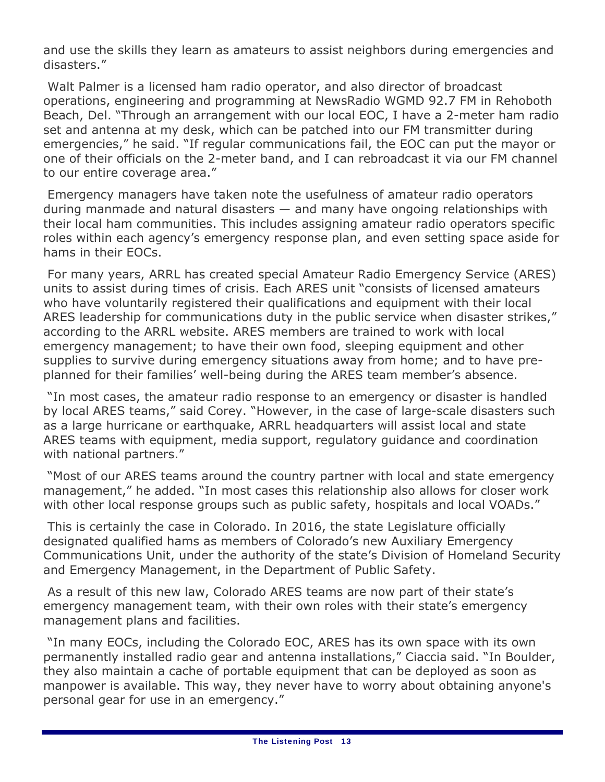and use the skills they learn as amateurs to assist neighbors during emergencies and disasters."

 Walt Palmer is a licensed ham radio operator, and also director of broadcast operations, engineering and programming at NewsRadio WGMD 92.7 FM in Rehoboth Beach, Del. "Through an arrangement with our local EOC, I have a 2-meter ham radio set and antenna at my desk, which can be patched into our FM transmitter during emergencies," he said. "If regular communications fail, the EOC can put the mayor or one of their officials on the 2-meter band, and I can rebroadcast it via our FM channel to our entire coverage area."

 Emergency managers have taken note the usefulness of amateur radio operators during manmade and natural disasters — and many have ongoing relationships with their local ham communities. This includes assigning amateur radio operators specific roles within each agency's emergency response plan, and even setting space aside for hams in their EOCs.

 For many years, ARRL has created special Amateur Radio Emergency Service (ARES) units to assist during times of crisis. Each ARES unit "consists of licensed amateurs who have voluntarily registered their qualifications and equipment with their local ARES leadership for communications duty in the public service when disaster strikes," according to the ARRL website. ARES members are trained to work with local emergency management; to have their own food, sleeping equipment and other supplies to survive during emergency situations away from home; and to have preplanned for their families' well-being during the ARES team member's absence.

 "In most cases, the amateur radio response to an emergency or disaster is handled by local ARES teams," said Corey. "However, in the case of large-scale disasters such as a large hurricane or earthquake, ARRL headquarters will assist local and state ARES teams with equipment, media support, regulatory guidance and coordination with national partners."

 "Most of our ARES teams around the country partner with local and state emergency management," he added. "In most cases this relationship also allows for closer work with other local response groups such as public safety, hospitals and local VOADs."

 This is certainly the case in Colorado. In 2016, the state Legislature officially designated qualified hams as members of Colorado's new Auxiliary Emergency Communications Unit, under the authority of the state's Division of Homeland Security and Emergency Management, in the Department of Public Safety.

 As a result of this new law, Colorado ARES teams are now part of their state's emergency management team, with their own roles with their state's emergency management plans and facilities.

 "In many EOCs, including the Colorado EOC, ARES has its own space with its own permanently installed radio gear and antenna installations," Ciaccia said. "In Boulder, they also maintain a cache of portable equipment that can be deployed as soon as manpower is available. This way, they never have to worry about obtaining anyone's personal gear for use in an emergency."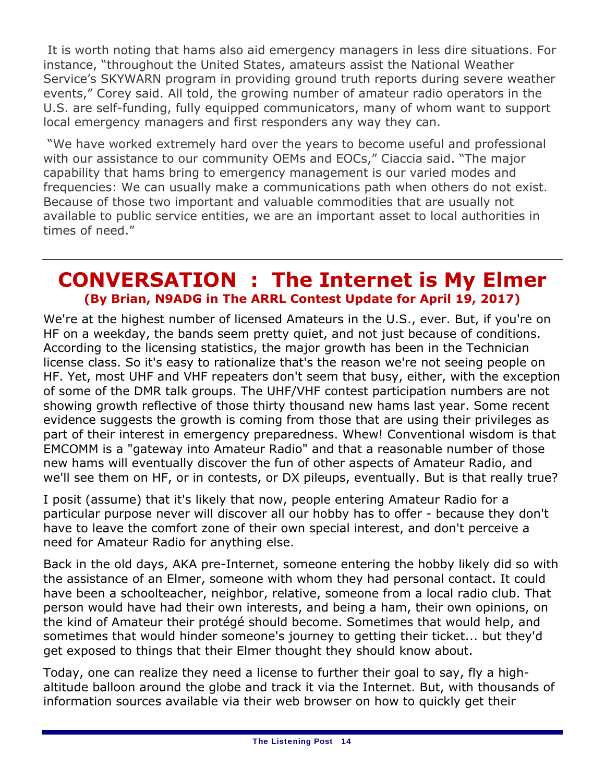It is worth noting that hams also aid emergency managers in less dire situations. For instance, "throughout the United States, amateurs assist the National Weather Service's SKYWARN program in providing ground truth reports during severe weather events," Corey said. All told, the growing number of amateur radio operators in the U.S. are self-funding, fully equipped communicators, many of whom want to support local emergency managers and first responders any way they can.

 "We have worked extremely hard over the years to become useful and professional with our assistance to our community OEMs and EOCs," Ciaccia said. "The major capability that hams bring to emergency management is our varied modes and frequencies: We can usually make a communications path when others do not exist. Because of those two important and valuable commodities that are usually not available to public service entities, we are an important asset to local authorities in times of need."

### **CONVERSATION : The Internet is My Elmer (By Brian, N9ADG in The ARRL Contest Update for April 19, 2017)**

We're at the highest number of licensed Amateurs in the U.S., ever. But, if you're on HF on a weekday, the bands seem pretty quiet, and not just because of conditions. According to the licensing statistics, the major growth has been in the Technician license class. So it's easy to rationalize that's the reason we're not seeing people on HF. Yet, most UHF and VHF repeaters don't seem that busy, either, with the exception of some of the DMR talk groups. The UHF/VHF contest participation numbers are not showing growth reflective of those thirty thousand new hams last year. Some recent evidence suggests the growth is coming from those that are using their privileges as part of their interest in emergency preparedness. Whew! Conventional wisdom is that EMCOMM is a "gateway into Amateur Radio" and that a reasonable number of those new hams will eventually discover the fun of other aspects of Amateur Radio, and we'll see them on HF, or in contests, or DX pileups, eventually. But is that really true?

I posit (assume) that it's likely that now, people entering Amateur Radio for a particular purpose never will discover all our hobby has to offer - because they don't have to leave the comfort zone of their own special interest, and don't perceive a need for Amateur Radio for anything else.

Back in the old days, AKA pre-Internet, someone entering the hobby likely did so with the assistance of an Elmer, someone with whom they had personal contact. It could have been a schoolteacher, neighbor, relative, someone from a local radio club. That person would have had their own interests, and being a ham, their own opinions, on the kind of Amateur their protégé should become. Sometimes that would help, and sometimes that would hinder someone's journey to getting their ticket... but they'd get exposed to things that their Elmer thought they should know about.

Today, one can realize they need a license to further their goal to say, fly a highaltitude balloon around the globe and track it via the Internet. But, with thousands of information sources available via their web browser on how to quickly get their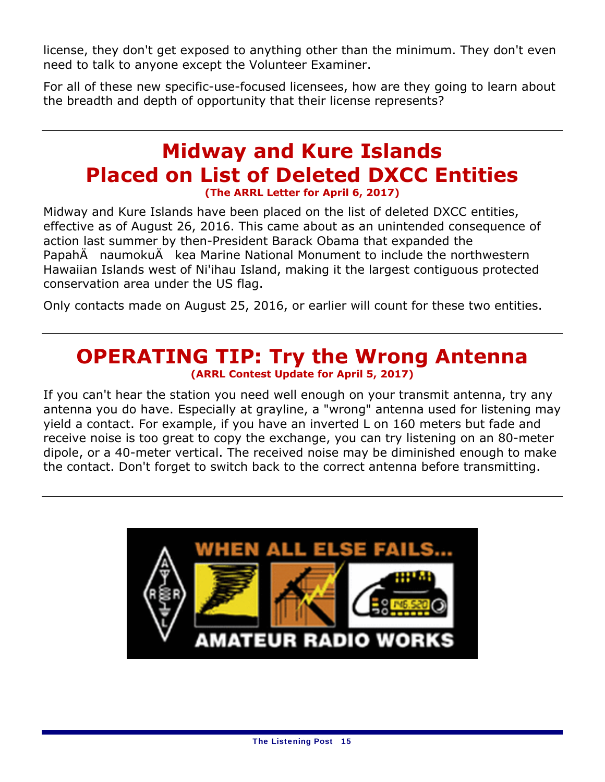license, they don't get exposed to anything other than the minimum. They don't even need to talk to anyone except the Volunteer Examiner.

For all of these new specific-use-focused licensees, how are they going to learn about the breadth and depth of opportunity that their license represents?

### **Midway and Kure Islands Placed on List of Deleted DXCC Entities (The ARRL Letter for April 6, 2017)**

Midway and Kure Islands have been placed on the list of deleted DXCC entities, effective as of August 26, 2016. This came about as an unintended consequence of action last summer by then-President Barack Obama that expanded the PapahÄ naumokuÄ kea Marine National Monument to include the northwestern Hawaiian Islands west of Ni'ihau Island, making it the largest contiguous protected conservation area under the US flag.

Only contacts made on August 25, 2016, or earlier will count for these two entities.

### **OPERATING TIP: Try the Wrong Antenna (ARRL Contest Update for April 5, 2017)**

If you can't hear the station you need well enough on your transmit antenna, try any antenna you do have. Especially at grayline, a "wrong" antenna used for listening may yield a contact. For example, if you have an inverted L on 160 meters but fade and receive noise is too great to copy the exchange, you can try listening on an 80-meter dipole, or a 40-meter vertical. The received noise may be diminished enough to make the contact. Don't forget to switch back to the correct antenna before transmitting.

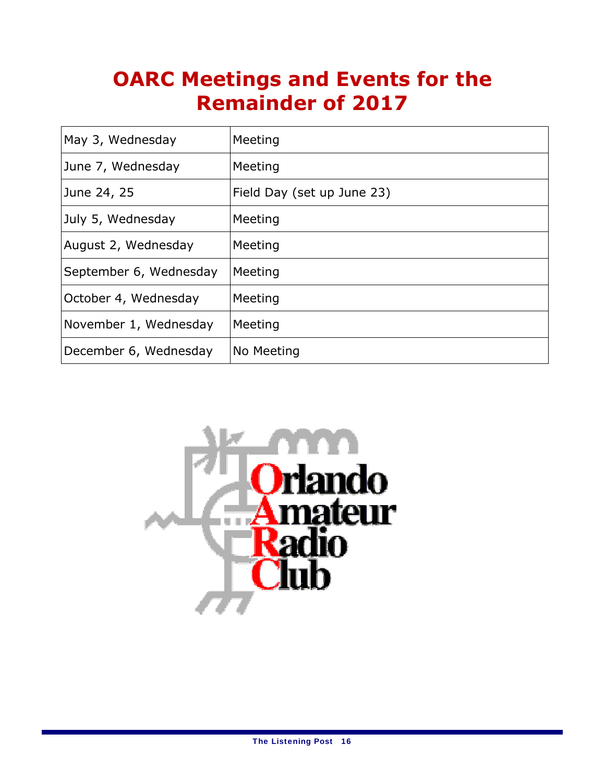# **OARC Meetings and Events for the Remainder of 2017**

| May 3, Wednesday       | Meeting                    |
|------------------------|----------------------------|
| June 7, Wednesday      | Meeting                    |
| June 24, 25            | Field Day (set up June 23) |
| July 5, Wednesday      | Meeting                    |
| August 2, Wednesday    | Meeting                    |
| September 6, Wednesday | Meeting                    |
| October 4, Wednesday   | Meeting                    |
| November 1, Wednesday  | Meeting                    |
| December 6, Wednesday  | No Meeting                 |